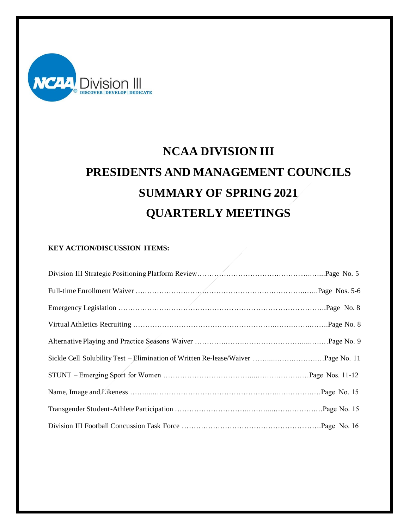

# **NCAA DIVISION III PRESIDENTS AND MANAGEMENT COUNCILS SUMMARY OF SPRING 2021 QUARTERLY MEETINGS**

# **KEY ACTION/DISCUSSION ITEMS:**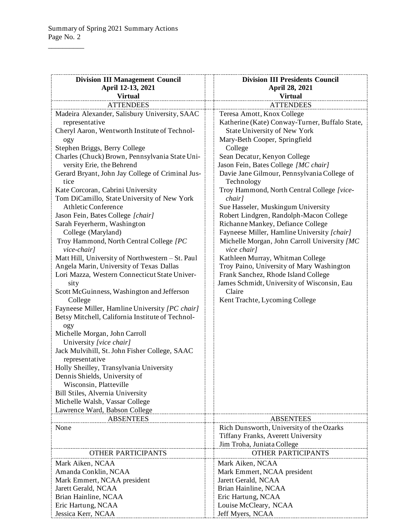$\overline{\phantom{a}}$ 

| <b>Division III Management Council</b>           | <b>Division III Presidents Council</b>         |
|--------------------------------------------------|------------------------------------------------|
| April 12-13, 2021                                | April 28, 2021                                 |
| <b>Virtual</b>                                   | <b>Virtual</b>                                 |
| <b>ATTENDEES</b>                                 | <b>ATTENDEES</b>                               |
| Madeira Alexander, Salisbury University, SAAC    | Teresa Amott, Knox College                     |
| representative                                   | Katherine (Kate) Conway-Turner, Buffalo State, |
| Cheryl Aaron, Wentworth Institute of Technol-    | State University of New York                   |
| ogy                                              | Mary-Beth Cooper, Springfield                  |
| Stephen Briggs, Berry College                    | College                                        |
| Charles (Chuck) Brown, Pennsylvania State Uni-   | Sean Decatur, Kenyon College                   |
| versity Erie, the Behrend                        | Jason Fein, Bates College [MC chair]           |
| Gerard Bryant, John Jay College of Criminal Jus- | Davie Jane Gilmour, Pennsylvania College of    |
| tice                                             | Technology                                     |
| Kate Corcoran, Cabrini University                | Troy Hammond, North Central College [vice-     |
| Tom DiCamillo, State University of New York      | chair]                                         |
| <b>Athletic Conference</b>                       | Sue Hasseler, Muskingum University             |
| Jason Fein, Bates College [chair]                | Robert Lindgren, Randolph-Macon College        |
| Sarah Feyerherm, Washington                      | Richanne Mankey, Defiance College              |
| College (Maryland)                               | Fayneese Miller, Hamline University [chair]    |
| Troy Hammond, North Central College [PC          | Michelle Morgan, John Carroll University [MC   |
| vice-chair]                                      | vice chair]                                    |
| Matt Hill, University of Northwestern - St. Paul | Kathleen Murray, Whitman College               |
| Angela Marin, University of Texas Dallas         | Troy Paino, University of Mary Washington      |
| Lori Mazza, Western Connecticut State Univer-    | Frank Sanchez, Rhode Island College            |
| sity                                             | James Schmidt, University of Wisconsin, Eau    |
| Scott McGuinness, Washington and Jefferson       | Claire                                         |
| College                                          | Kent Trachte, Lycoming College                 |
| Fayneese Miller, Hamline University [PC chair]   |                                                |
| Betsy Mitchell, California Institute of Technol- |                                                |
| ogy                                              |                                                |
| Michelle Morgan, John Carroll                    |                                                |
| University [vice chair]                          |                                                |
| Jack Mulvihill, St. John Fisher College, SAAC    |                                                |
| representative                                   |                                                |
| Holly Sheilley, Transylvania University          |                                                |
| Dennis Shields, University of                    |                                                |
| Wisconsin, Platteville                           |                                                |
| Bill Stiles, Alvernia University                 |                                                |
| Michelle Walsh, Vassar College                   |                                                |
| Lawrence Ward, Babson College                    |                                                |
| <b>ABSENTEES</b>                                 | <b>ABSENTEES</b>                               |
| None                                             | Rich Dunsworth, University of the Ozarks       |
|                                                  | Tiffany Franks, Averett University             |
|                                                  | Jim Troha, Juniata College                     |
| <b>OTHER PARTICIPANTS</b>                        | <b>OTHER PARTICIPANTS</b>                      |
| Mark Aiken, NCAA                                 | Mark Aiken, NCAA                               |
| Amanda Conklin, NCAA                             | Mark Emmert, NCAA president                    |
| Mark Emmert, NCAA president                      | Jarett Gerald, NCAA                            |
| Jarett Gerald, NCAA                              | Brian Hainline, NCAA                           |
| Brian Hainline, NCAA                             | Eric Hartung, NCAA                             |
| Eric Hartung, NCAA                               | Louise McCleary, NCAA                          |
| Jessica Kerr, NCAA                               | Jeff Myers, NCAA                               |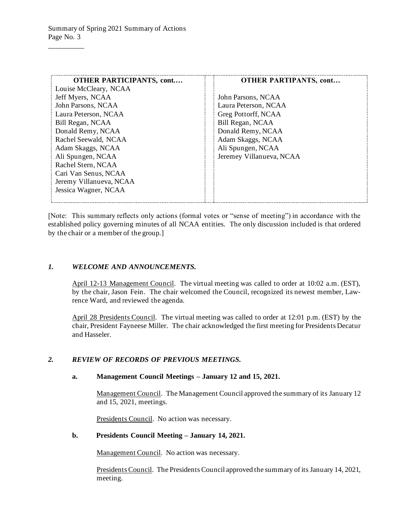| <b>OTHER PARTICIPANTS, cont</b> | <b>OTHER PARTIPANTS, cont</b> |
|---------------------------------|-------------------------------|
| Louise McCleary, NCAA           |                               |
| Jeff Myers, NCAA                | John Parsons, NCAA            |
| John Parsons, NCAA              | Laura Peterson, NCAA          |
| Laura Peterson, NCAA            | Greg Pottorff, NCAA           |
| Bill Regan, NCAA                | Bill Regan, NCAA              |
| Donald Remy, NCAA               | Donald Remy, NCAA             |
| Rachel Seewald, NCAA            | Adam Skaggs, NCAA             |
| Adam Skaggs, NCAA               | Ali Spungen, NCAA             |
| Ali Spungen, NCAA               | Jeremey Villanueva, NCAA      |
| Rachel Stern, NCAA              |                               |
| Cari Van Senus, NCAA            |                               |
| Jeremy Villanueva, NCAA         |                               |
| Jessica Wagner, NCAA            |                               |
|                                 |                               |

[Note: This summary reflects only actions (formal votes or "sense of meeting") in accordance with the established policy governing minutes of all NCAA entities. The only discussion included is that ordered by the chair or a member of the group.]

#### *1. WELCOME AND ANNOUNCEMENTS.*

April 12-13 Management Council. The virtual meeting was called to order at 10:02 a.m. (EST), by the chair, Jason Fein. The chair welcomed the Council, recognized its newest member, Lawrence Ward, and reviewed the agenda.

April 28 Presidents Council. The virtual meeting was called to order at 12:01 p.m. (EST) by the chair, President Fayneese Miller. The chair acknowledged the first meeting for Presidents Decatur and Hasseler.

#### *2. REVIEW OF RECORDS OF PREVIOUS MEETINGS.*

#### **a. Management Council Meetings – January 12 and 15, 2021.**

Management Council. The Management Council approved the summary of its January 12 and 15, 2021, meetings.

Presidents Council. No action was necessary.

#### **b. Presidents Council Meeting – January 14, 2021.**

Management Council. No action was necessary.

Presidents Council. The Presidents Council approved the summary of its January 14, 2021, meeting.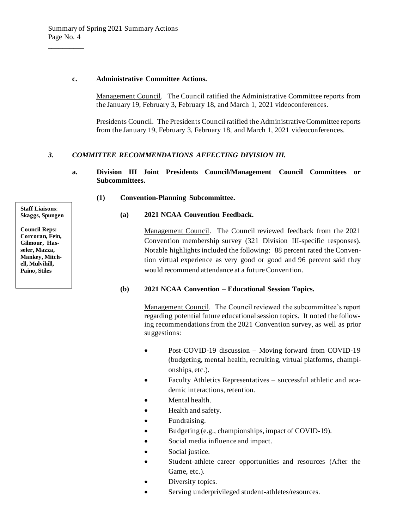#### **c. Administrative Committee Actions.**

Management Council. The Council ratified the Administrative Committee reports from the January 19, February 3, February 18, and March 1, 2021 videoconferences.

Presidents Council. The Presidents Council ratified the Administrative Committee reports from the January 19, February 3, February 18, and March 1, 2021 videoconferences.

#### *3. COMMITTEE RECOMMENDATIONS AFFECTING DIVISION III.*

**a. Division III Joint Presidents Council/Management Council Committees or Subcommittees.**

#### **(1) Convention-Planning Subcommittee.**

#### **(a) 2021 NCAA Convention Feedback.**

Management Council. The Council reviewed feedback from the 2021 Convention membership survey (321 Division III-specific responses). Notable highlights included the following: 88 percent rated the Convention virtual experience as very good or good and 96 percent said they would recommend attendance at a future Convention.

#### **(b) 2021 NCAA Convention – Educational Session Topics.**

Management Council. The Council reviewed the subcommittee's report regarding potential future educational session topics. It noted the following recommendations from the 2021 Convention survey, as well as prior suggestions:

- Post-COVID-19 discussion Moving forward from COVID-19 (budgeting, mental health, recruiting, virtual platforms, championships, etc.).
- Faculty Athletics Representatives successful athletic and academic interactions, retention.
- Mental health.
- Health and safety.
- Fundraising.
- Budgeting (e.g., championships, impact of COVID-19).
- Social media influence and impact.
- Social justice.
- Student-athlete career opportunities and resources (After the Game, etc.).
- Diversity topics.
- Serving underprivileged student-athletes/resources.

**Staff Liaisons**: **Skaggs, Spungen**

**Council Reps: Corcoran, Fein, Gilmour, Hasseler, Mazza, Mankey, Mitchell, Mulvihill, Paino, Stiles**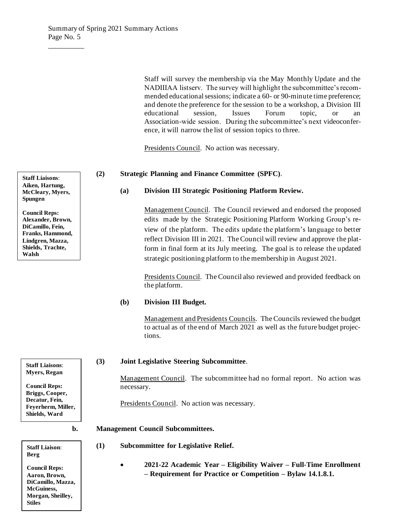Staff will survey the membership via the May Monthly Update and the NADIIIAA listserv. The survey will highlight the subcommittee's recommended educational sessions; indicate a 60- or 90-minute time preference; and denote the preference for the session to be a workshop, a Division III educational session, Issues Forum topic, or an Association-wide session. During the subcommittee's next videoconference, it will narrow the list of session topics to three.

Presidents Council. No action was necessary.

#### **(2) Strategic Planning and Finance Committee (SPFC)**.

## **(a) Division III Strategic Positioning Platform Review.**

Management Council. The Council reviewed and endorsed the proposed edits made by the Strategic Positioning Platform Working Group's review of the platform. The edits update the platform's language to better reflect Division III in 2021. The Council will review and approve the platform in final form at its July meeting. The goal is to release the updated strategic positioning platform to the membership in August 2021.

Presidents Council. The Council also reviewed and provided feedback on the platform.

## **(b) Division III Budget.**

Management and Presidents Councils. The Councils reviewed the budget to actual as of the end of March 2021 as well as the future budget projections.

#### **(3) Joint Legislative Steering Subcommittee**.

Management Council. The subcommittee had no formal report. No action was necessary.

Presidents Council. No action was necessary.

#### **b. Management Council Subcommittees.**

- **(1) Subcommittee for Legislative Relief.**
	- **2021-22 Academic Year – Eligibility Waiver – Full-Time Enrollment – Requirement for Practice or Competition – Bylaw 14.1.8.1.**

**Staff Liaisons**: **Aiken, Hartung, McCleary, Myers, Spungen**

\_\_\_\_\_\_\_\_\_\_

**Council Reps: Alexander, Brown, DiCamillo, Fein, Franks, Hammond, Lindgren, Mazza, Shields, Trachte, Walsh**

**Staff Liaisons**: **Myers, Regan**

**Council Reps: Briggs, Cooper, Decatur, Fein, Feyerherm, Miller, Shields, Ward**

**Staff Liaison**: **Berg**

**Council Reps: Aaron, Brown, DiCamillo, Mazza, McGuiness, Morgan, Sheilley, Stiles**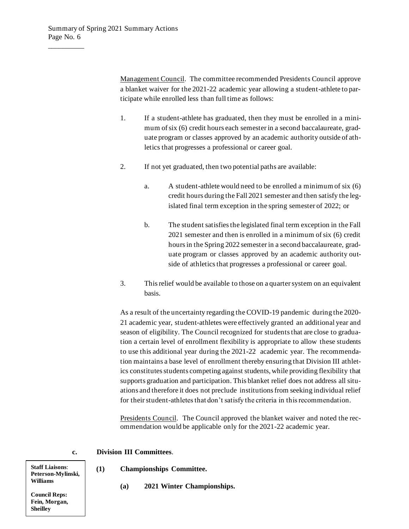Management Council. The committee recommended Presidents Council approve a blanket waiver for the 2021-22 academic year allowing a student-athlete to participate while enrolled less than full time as follows:

- 1. If a student-athlete has graduated, then they must be enrolled in a minimum of six (6) credit hours each semester in a second baccalaureate, graduate program or classes approved by an academic authority outside of athletics that progresses a professional or career goal.
- 2. If not yet graduated, then two potential paths are available:
	- a. A student-athlete would need to be enrolled a minimum of six (6) credit hours during the Fall 2021 semester and then satisfy the legislated final term exception in the spring semester of 2022; or
	- b. The student satisfies the legislated final term exception in the Fall 2021 semester and then is enrolled in a minimum of six (6) credit hours in the Spring 2022 semester in a second baccalaureate, graduate program or classes approved by an academic authority outside of athletics that progresses a professional or career goal.
- 3. This relief would be available to those on a quarter system on an equivalent basis.

As a result of the uncertainty regarding the COVID-19 pandemic during the 2020- 21 academic year, student-athletes were effectively granted an additional year and season of eligibility. The Council recognized for students that are close to graduation a certain level of enrollment flexibility is appropriate to allow these students to use this additional year during the 2021-22 academic year. The recommendation maintains a base level of enrollment thereby ensuring that Division III athletics constitutes students competing against students, while providing flexibility that supports graduation and participation. This blanket relief does not address all situations and therefore it does not preclude institutions from seeking individual relief for their student-athletes that don't satisfy the criteria in this recommendation.

Presidents Council. The Council approved the blanket waiver and noted the recommendation would be applicable only for the 2021-22 academic year.

#### **c. Division III Committees**.

**Staff Liaisons**: **Peterson-Mylinski, Williams**

- **(1) Championships Committee.**
	- **(a) 2021 Winter Championships.**

**Council Reps: Fein, Morgan, Sheilley**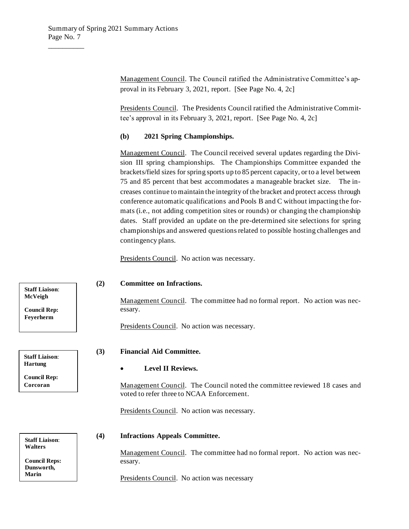Management Council. The Council ratified the Administrative Committee's approval in its February 3, 2021, report. [See Page No. 4, 2c]

Presidents Council. The Presidents Council ratified the Administrative Committee's approval in its February 3, 2021, report. [See Page No. 4, 2c]

## **(b) 2021 Spring Championships.**

Management Council. The Council received several updates regarding the Division III spring championships. The Championships Committee expanded the brackets/field sizes for spring sports up to 85 percent capacity, or to a level between 75 and 85 percent that best accommodates a manageable bracket size. The increases continue to maintain the integrity of the bracket and protect access through conference automatic qualifications and Pools B and C without impacting the formats (i.e., not adding competition sites or rounds) or changing the championship dates. Staff provided an update on the pre-determined site selections for spring championships and answered questions related to possible hosting challenges and contingency plans.

Presidents Council. No action was necessary.

#### **(2) Committee on Infractions.**

Management Council. The committee had no formal report. No action was necessary.

Presidents Council. No action was necessary.

#### **(3) Financial Aid Committee.**

#### • **Level II Reviews.**

Management Council. The Council noted the committee reviewed 18 cases and voted to refer three to NCAA Enforcement.

Presidents Council. No action was necessary.

#### **(4) Infractions Appeals Committee.**

Management Council. The committee had no formal report. No action was necessary.

Presidents Council. No action was necessary

**Staff Liaison**: **McVeigh**

**Council Rep: Feyerherm**

**Staff Liaison**: **Hartung**

**Council Rep: Corcoran**

**Staff Liaison**: **Walters**

**Council Reps: Dunsworth, Marin**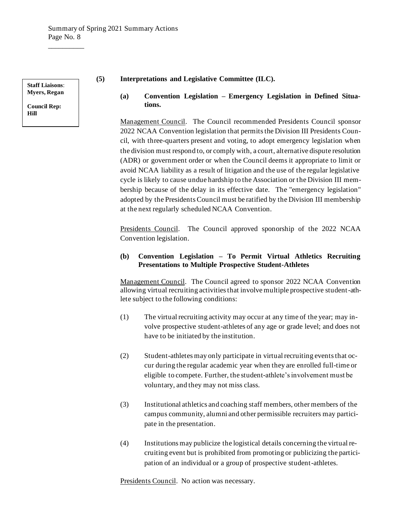**Staff Liaisons**: **Myers, Regan**

\_\_\_\_\_\_\_\_\_\_

**Council Rep: Hill**

#### **(5) Interpretations and Legislative Committee (ILC).**

**(a) Convention Legislation – Emergency Legislation in Defined Situations.**

Management Council. The Council recommended Presidents Council sponsor 2022 NCAA Convention legislation that permits the Division III Presidents Council, with three-quarters present and voting, to adopt emergency legislation when the division must respond to, or comply with, a court, alternative dispute resolution (ADR) or government order or when the Council deems it appropriate to limit or avoid NCAA liability as a result of litigation and the use of the regular legislative cycle is likely to cause undue hardship to the Association or the Division III membership because of the delay in its effective date. The "emergency legislation" adopted by the Presidents Council must be ratified by the Division III membership at the next regularly scheduled NCAA Convention.

Presidents Council. The Council approved sponorship of the 2022 NCAA Convention legislation.

#### **(b) Convention Legislation – To Permit Virtual Athletics Recruiting Presentations to Multiple Prospective Student-Athletes**

Management Council. The Council agreed to sponsor 2022 NCAA Convention allowing virtual recruiting activities that involve multiple prospective student-athlete subject to the following conditions:

- (1) The virtual recruiting activity may occur at any time of the year; may involve prospective student-athletes of any age or grade level; and does not have to be initiated by the institution.
- (2) Student-athletes may only participate in virtual recruiting events that occur during the regular academic year when they are enrolled full-time or eligible to compete. Further, the student-athlete's involvement must be voluntary, and they may not miss class.
- (3) Institutional athletics and coaching staff members, other members of the campus community, alumni and other permissible recruiters may participate in the presentation.
- (4) Institutions may publicize the logistical details concerning the virtual recruiting event but is prohibited from promoting or publicizing the participation of an individual or a group of prospective student-athletes.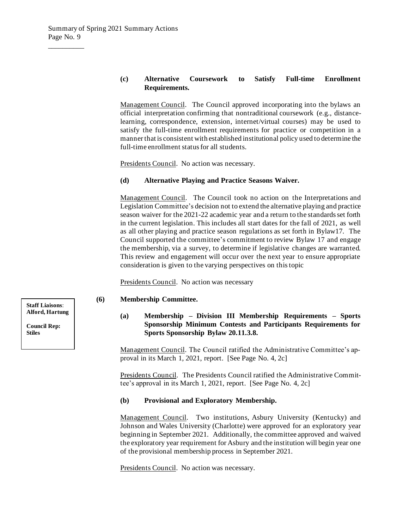## **(c) Alternative Coursework to Satisfy Full-time Enrollment Requirements.**

Management Council. The Council approved incorporating into the bylaws an official interpretation confirming that nontraditional coursework (e.g., distancelearning, correspondence, extension, internet/virtual courses) may be used to satisfy the full-time enrollment requirements for practice or competition in a manner that is consistent with established institutional policy used to determine the full-time enrollment status for all students.

Presidents Council. No action was necessary.

#### **(d) Alternative Playing and Practice Seasons Waiver.**

Management Council. The Council took no action on the Interpretations and Legislation Committee's decision not to extend the alternative playing and practice season waiver for the 2021-22 academic year and a return to the standards set forth in the current legislation. This includes all start dates for the fall of 2021, as well as all other playing and practice season regulations as set forth in Bylaw17. The Council supported the committee's commitment to review Bylaw 17 and engage the membership, via a survey, to determine if legislative changes are warranted. This review and engagement will occur over the next year to ensure appropriate consideration is given to the varying perspectives on this topic

Presidents Council. No action was necessary

#### **(6) Membership Committee.**

## **(a) Membership – Division III Membership Requirements – Sports Sponsorship Minimum Contests and Participants Requirements for Sports Sponsorship Bylaw 20.11.3.8.**

Management Council. The Council ratified the Administrative Committee's approval in its March 1, 2021, report. [See Page No. 4, 2c]

Presidents Council. The Presidents Council ratified the Administrative Committee's approval in its March 1, 2021, report. [See Page No. 4, 2c]

#### **(b) Provisional and Exploratory Membership.**

Management Council. Two institutions, Asbury University (Kentucky) and Johnson and Wales University (Charlotte) were approved for an exploratory year beginning in September 2021. Additionally, the committee approved and waived the exploratory year requirement for Asbury and the institution will begin year one of the provisional membership process in September 2021.

Presidents Council. No action was necessary.

**Staff Liaisons**: **Alford, Hartung**

**Council Rep: Stiles**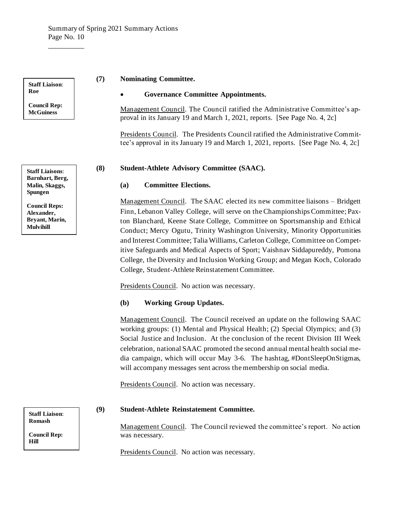**Staff Liaison**: **Roe**

\_\_\_\_\_\_\_\_\_\_

**Council Rep: McGuiness**

**Staff Liaisons**: **Barnhart, Berg, Malin, Skaggs, Spungen**

**Council Reps: Alexander, Bryant, Marin, Mulvihill**

**Staff Liaison**: **Romash** 

**Council Rep: Hill**

#### **(7) Nominating Committee.**

#### • **Governance Committee Appointments.**

Management Council. The Council ratified the Administrative Committee's approval in its January 19 and March 1, 2021, reports. [See Page No. 4, 2c]

Presidents Council. The Presidents Council ratified the Administrative Committee's approval in its January 19 and March 1, 2021, reports. [See Page No. 4, 2c]

#### **(8) Student-Athlete Advisory Committee (SAAC).**

#### **(a) Committee Elections.**

Management Council. The SAAC elected its new committee liaisons – Bridgett Finn, Lebanon Valley College, will serve on the Championships Committee; Paxton Blanchard, Keene State College, Committee on Sportsmanship and Ethical Conduct; Mercy Ogutu, Trinity Washington University, Minority Opportunities and Interest Committee; Talia Williams, Carleton College, Committee on Competitive Safeguards and Medical Aspects of Sport; Vaishnav Siddapureddy, Pomona College, the Diversity and Inclusion Working Group; and Megan Koch, Colorado College, Student-Athlete Reinstatement Committee.

Presidents Council. No action was necessary.

#### **(b) Working Group Updates.**

Management Council. The Council received an update on the following SAAC working groups: (1) Mental and Physical Health; (2) Special Olympics; and (3) Social Justice and Inclusion. At the conclusion of the recent Division III Week celebration, national SAAC promoted the second annual mental health social media campaign, which will occur May 3-6. The hashtag, #DontSleepOnStigmas, will accompany messages sent across the membership on social media.

Presidents Council. No action was necessary.

#### **(9) Student-Athlete Reinstatement Committee.**

Management Council. The Council reviewed the committee's report. No action was necessary.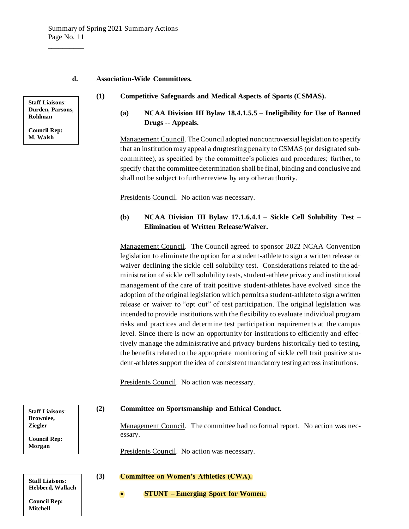#### **d. Association-Wide Committees.**

**Staff Liaisons**: **Durden, Parsons, Rohlman**

\_\_\_\_\_\_\_\_\_\_

**Council Rep: M. Walsh**

- **(1) Competitive Safeguards and Medical Aspects of Sports (CSMAS).** 
	- **(a) NCAA Division III Bylaw 18.4.1.5.5 – Ineligibility for Use of Banned Drugs -- Appeals.**

Management Council. The Council adopted noncontroversial legislation to specify that an institution may appeal a drugtesting penalty to CSMAS (or designated subcommittee), as specified by the committee's policies and procedures; further, to specify that the committee determination shall be final, binding and conclusive and shall not be subject to further review by any other authority.

Presidents Council. No action was necessary.

# **(b) NCAA Division III Bylaw 17.1.6.4.1 – Sickle Cell Solubility Test – Elimination of Written Release/Waiver.**

Management Council. The Council agreed to sponsor 2022 NCAA Convention legislation to eliminate the option for a student-athlete to sign a written release or waiver declining the sickle cell solubility test. Considerations related to the administration of sickle cell solubility tests, student-athlete privacy and institutional management of the care of trait positive student-athletes have evolved since the adoption of the original legislation which permits a student-athlete to sign a written release or waiver to "opt out" of test participation. The original legislation was intended to provide institutions with the flexibility to evaluate individual program risks and practices and determine test participation requirements at the campus level. Since there is now an opportunity for institutions to efficiently and effectively manage the administrative and privacy burdens historically tied to testing, the benefits related to the appropriate monitoring of sickle cell trait positive student-athletes support the idea of consistent mandatory testing across institutions.

Presidents Council. No action was necessary.

#### **(2) Committee on Sportsmanship and Ethical Conduct.**

Management Council. The committee had no formal report. No action was necessary.

Presidents Council. No action was necessary.

**(3) Committee on Women's Athletics (CWA).**

**Council Rep: Mitchell**

**Staff Liaisons**: **Hebberd, Wallach**

• **STUNT – Emerging Sport for Women.**

**Brownlee, Ziegler Council Rep:**

**Morgan**

**Staff Liaisons**: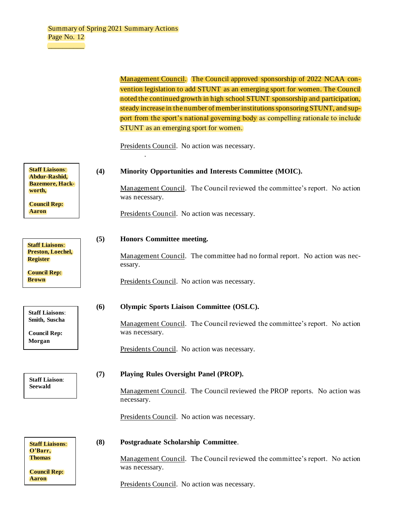Management Council. The Council approved sponsorship of 2022 NCAA convention legislation to add STUNT as an emerging sport for women. The Council noted the continued growth in high school STUNT sponsorship and participation, steady increase in the number of member institutions sponsoring STUNT, and support from the sport's national governing body as compelling rationale to include STUNT as an emerging sport for women.

Presidents Council. No action was necessary.

#### **(4) Minority Opportunities and Interests Committee (MOIC).**

Management Council. The Council reviewed the committee's report. No action was necessary.

Presidents Council. No action was necessary.

**(5) Honors Committee meeting.**

.

Management Council. The committee had no formal report. No action was necessary.

Presidents Council. No action was necessary.

#### **(6) Olympic Sports Liaison Committee (OSLC).**

Management Council. The Council reviewed the committee's report. No action was necessary.

Presidents Council. No action was necessary.

## **(7) Playing Rules Oversight Panel (PROP).**

Management Council. The Council reviewed the PROP reports. No action was necessary.

Presidents Council. No action was necessary.

#### **(8) Postgraduate Scholarship Committee**.

Management Council. The Council reviewed the committee's report. No action was necessary.

Presidents Council. No action was necessary.

**Staff Liaisons**: **Abdur-Rashid, Bazemore, Hackworth,**

 $\overline{\phantom{a}}$  . The set of the set of the set of the set of the set of the set of the set of the set of the set of the set of the set of the set of the set of the set of the set of the set of the set of the set of the set o

**Council Rep: Aaron**

**Staff Liaisons**: **Preston, Loechel, Register**

**Council Rep: Brown**

**Staff Liaisons**: **Smith, Suscha Council Rep:**

**Morgan**

**Staff Liaison**: **Seewald**

**Staff Liaisons**: **O'Barr, Thomas**

**Council Rep: Aaron**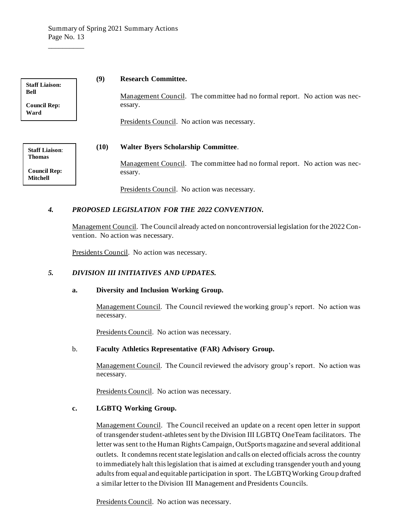| <b>Staff Liaison:</b><br><b>Bell</b><br><b>Council Rep:</b><br>Ward              | (9)  | <b>Research Committee.</b><br>Management Council. The committee had no formal report. No action was nec-<br>essary.<br>Presidents Council. No action was necessary. |
|----------------------------------------------------------------------------------|------|---------------------------------------------------------------------------------------------------------------------------------------------------------------------|
| <b>Staff Liaison:</b><br><b>Thomas</b><br><b>Council Rep:</b><br><b>Mitchell</b> | (10) | <b>Walter Byers Scholarship Committee.</b><br>Management Council. The committee had no formal report. No action was nec-<br>essary.                                 |

Presidents Council. No action was necessary.

#### *4. PROPOSED LEGISLATION FOR THE 2022 CONVENTION.*

Management Council. The Council already acted on noncontroversial legislation for the 2022 Convention. No action was necessary.

Presidents Council. No action was necessary.

#### *5. DIVISION III INITIATIVES AND UPDATES.*

#### **a. Diversity and Inclusion Working Group.**

Management Council. The Council reviewed the working group's report. No action was necessary.

Presidents Council. No action was necessary.

#### b. **Faculty Athletics Representative (FAR) Advisory Group.**

Management Council. The Council reviewed the advisory group's report. No action was necessary.

Presidents Council. No action was necessary.

# **c. LGBTQ Working Group.**

Management Council. The Council received an update on a recent open letter in support of transgender student-athletes sent by the Division III LGBTQ OneTeam facilitators. The letter was sent to the Human Rights Campaign, OutSports magazine and several additional outlets. It condemns recent state legislation and calls on elected officials across the country to immediately halt this legislation that is aimed at excluding transgender youth and young adults from equal and equitable participation in sport. The LGBTQ Working Group drafted a similar letter to the Division III Management and Presidents Councils.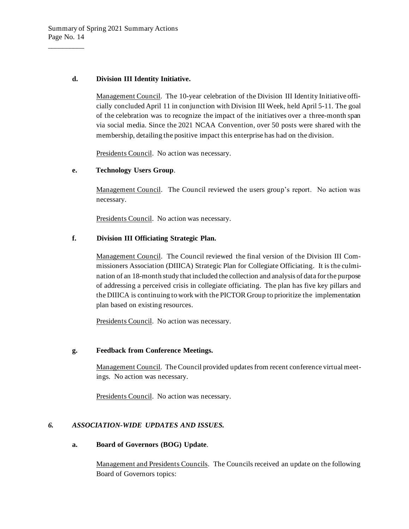## **d. Division III Identity Initiative.**

Management Council. The 10-year celebration of the Division III Identity Initiative officially concluded April 11 in conjunction with Division III Week, held April 5-11. The goal of the celebration was to recognize the impact of the initiatives over a three-month span via social media. Since the 2021 NCAA Convention, over 50 posts were shared with the membership, detailing the positive impact this enterprise has had on the division.

Presidents Council. No action was necessary.

## **e. Technology Users Group**.

Management Council. The Council reviewed the users group's report. No action was necessary.

Presidents Council. No action was necessary.

## **f. Division III Officiating Strategic Plan.**

Management Council. The Council reviewed the final version of the Division III Commissioners Association (DIIICA) Strategic Plan for Collegiate Officiating. It is the culmination of an 18-month study that included the collection and analysis of data for the purpose of addressing a perceived crisis in collegiate officiating. The plan has five key pillars and the DIIICA is continuing to work with the PICTOR Group to prioritize the implementation plan based on existing resources.

Presidents Council. No action was necessary.

# **g. Feedback from Conference Meetings.**

Management Council. The Council provided updates from recent conference virtual meetings. No action was necessary.

Presidents Council. No action was necessary.

# *6. ASSOCIATION-WIDE UPDATES AND ISSUES.*

## **a. Board of Governors (BOG) Update**.

Management and Presidents Councils. The Councils received an update on the following Board of Governors topics: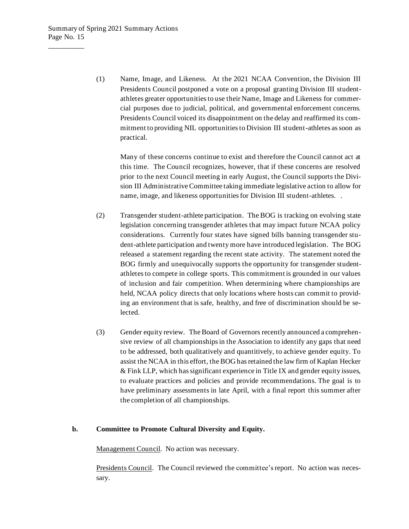(1) Name, Image, and Likeness. At the 2021 NCAA Convention, the Division III Presidents Council postponed a vote on a proposal granting Division III studentathletes greater opportunities to use their Name, Image and Likeness for commercial purposes due to judicial, political, and governmental enforcement concerns. Presidents Council voiced its disappointment on the delay and reaffirmed its commitment to providing NIL opportunities to Division III student-athletes as soon as practical.

Many of these concerns continue to exist and therefore the Council cannot act at this time. The Council recognizes, however, that if these concerns are resolved prior to the next Council meeting in early August, the Council supports the Division III Administrative Committee taking immediate legislative action to allow for name, image, and likeness opportunities for Division III student-athletes. .

- (2) Transgender student-athlete participation. The BOG is tracking on evolving state legislation concerning transgender athletes that may impact future NCAA policy considerations. Currently four states have signed bills banning transgender student-athlete participation and twenty more have introduced legislation. The BOG released a statement regarding the recent state activity. The statement noted the BOG firmly and unequivocally supports the opportunity for transgender studentathletes to compete in college sports. This commitment is grounded in our values of inclusion and fair competition. When determining where championships are held, NCAA policy directs that only locations where hosts can commit to providing an environment that is safe, healthy, and free of discrimination should be selected.
- (3) Gender equity review. The Board of Governors recently announced a comprehensive review of all championships in the Association to identify any gaps that need to be addressed, both qualitatively and quantitively, to achieve gender equity. To assist the NCAA in this effort, the BOG has retained the law firm of Kaplan Hecker & Fink LLP, which has significant experience in Title IX and gender equity issues, to evaluate practices and policies and provide recommendations. The goal is to have preliminary assessments in late April, with a final report this summer after the completion of all championships.

#### **b. Committee to Promote Cultural Diversity and Equity.**

Management Council. No action was necessary.

Presidents Council. The Council reviewed the committee's report. No action was necessary.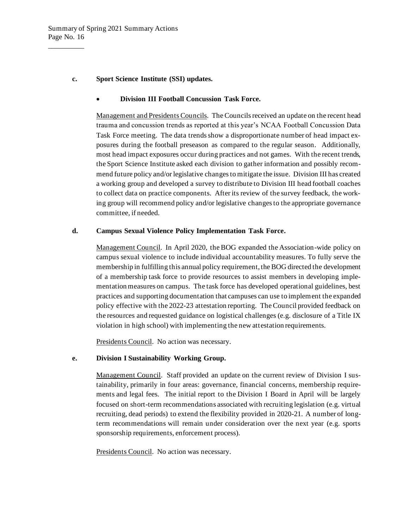#### **c. Sport Science Institute (SSI) updates.**

#### • **Division III Football Concussion Task Force.**

Management and Presidents Councils. The Councilsreceived an update on the recent head trauma and concussion trends as reported at this year's NCAA Football Concussion Data Task Force meeting. The data trends show a disproportionate number of head impact exposures during the football preseason as compared to the regular season. Additionally, most head impact exposures occur during practices and not games. With the recent trends, the Sport Science Institute asked each division to gather information and possibly recommend future policy and/or legislative changes to mitigate the issue. Division III has created a working group and developed a survey to distribute to Division III head football coaches to collect data on practice components. After its review of the survey feedback, the working group will recommend policy and/or legislative changes to the appropriate governance committee, if needed.

#### **d. Campus Sexual Violence Policy Implementation Task Force.**

Management Council. In April 2020, the BOG expanded the Association-wide policy on campus sexual violence to include individual accountability measures. To fully serve the membership in fulfilling this annual policy requirement, the BOG directed the development of a membership task force to provide resources to assist members in developing implementation measures on campus. The task force has developed operational guidelines, best practices and supporting documentation that campuses can use to implement the expanded policy effective with the 2022-23 attestation reporting. The Council provided feedback on the resources and requested guidance on logistical challenges (e.g. disclosure of a Title IX violation in high school) with implementing the new attestation requirements.

Presidents Council. No action was necessary.

#### **e. Division I Sustainability Working Group.**

Management Council. Staff provided an update on the current review of Division I sustainability, primarily in four areas: governance, financial concerns, membership requirements and legal fees. The initial report to the Division I Board in April will be largely focused on short-term recommendations associated with recruiting legislation (e.g. virtual recruiting, dead periods) to extend the flexibility provided in 2020-21. A number of longterm recommendations will remain under consideration over the next year (e.g. sports sponsorship requirements, enforcement process).